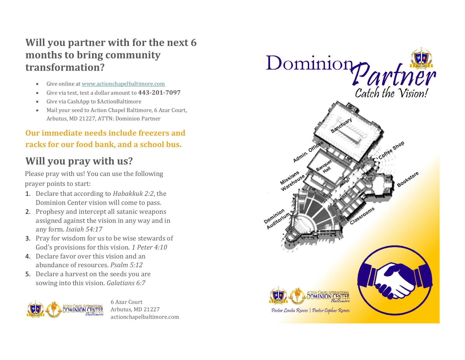# **Will you partner with for the next 6 months to bring community transformation?**

- Give online a[t www.actionchapelbaltimore.com](http://www.actionchapelbaltimore.com/)
- Give via text, text a dollar amount to **443-201-7097**
- Give via CashApp to \$ActionBaltimore
- Mail your seed to Action Chapel Baltimore, 6 Azar Court, Arbutus, MD 21227, ATTN: Dominion Partner

## **Our immediate needs include freezers and racks for our food bank, and a school bus.**

# **Will you pray with us?**

Please pray with us! You can use the following prayer points to start:

- 1. Declare that according to *Habakkuk 2:2*, the Dominion Center vision will come to pass.
- 2. Prophesy and intercept all satanic weapons assigned against the vision in any way and in any form. *Isaiah 54:17*
- 3. Pray for wisdom for us to be wise stewards of God's provisions for this vision. *1 Peter 4:10*
- 4. Declare favor over this vision and an abundance of resources. *Psalm 5:12*
- 5. Declare a harvest on the seeds you are sowing into this vision. *Galatians 6:7*



6 Azar Court Arbutus, MD 21227 actionchapelbaltimore.com